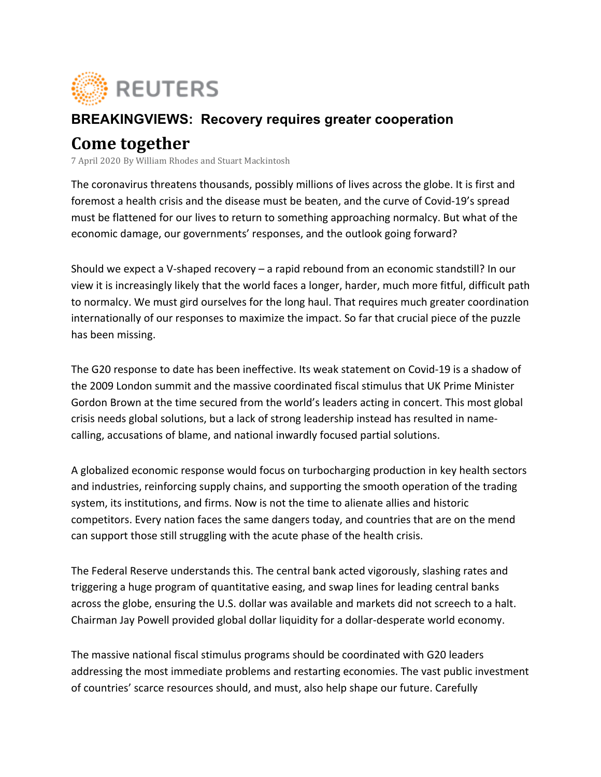

## **BREAKINGVIEWS: Recovery requires greater cooperation**

## **Come together**

7 April 2020 By William Rhodes and Stuart Mackintosh

The coronavirus threatens thousands, possibly millions of lives across the globe. It is first and foremost a health crisis and the disease must be beaten, and the curve of Covid-19's spread must be flattened for our lives to return to something approaching normalcy. But what of the economic damage, our governments' responses, and the outlook going forward?

Should we expect a V-shaped recovery  $-$  a rapid rebound from an economic standstill? In our view it is increasingly likely that the world faces a longer, harder, much more fitful, difficult path to normalcy. We must gird ourselves for the long haul. That requires much greater coordination internationally of our responses to maximize the impact. So far that crucial piece of the puzzle has been missing.

The G20 response to date has been ineffective. Its weak statement on Covid-19 is a shadow of the 2009 London summit and the massive coordinated fiscal stimulus that UK Prime Minister Gordon Brown at the time secured from the world's leaders acting in concert. This most global crisis needs global solutions, but a lack of strong leadership instead has resulted in namecalling, accusations of blame, and national inwardly focused partial solutions.

A globalized economic response would focus on turbocharging production in key health sectors and industries, reinforcing supply chains, and supporting the smooth operation of the trading system, its institutions, and firms. Now is not the time to alienate allies and historic competitors. Every nation faces the same dangers today, and countries that are on the mend can support those still struggling with the acute phase of the health crisis.

The Federal Reserve understands this. The central bank acted vigorously, slashing rates and triggering a huge program of quantitative easing, and swap lines for leading central banks across the globe, ensuring the U.S. dollar was available and markets did not screech to a halt. Chairman Jay Powell provided global dollar liquidity for a dollar-desperate world economy.

The massive national fiscal stimulus programs should be coordinated with G20 leaders addressing the most immediate problems and restarting economies. The vast public investment of countries' scarce resources should, and must, also help shape our future. Carefully